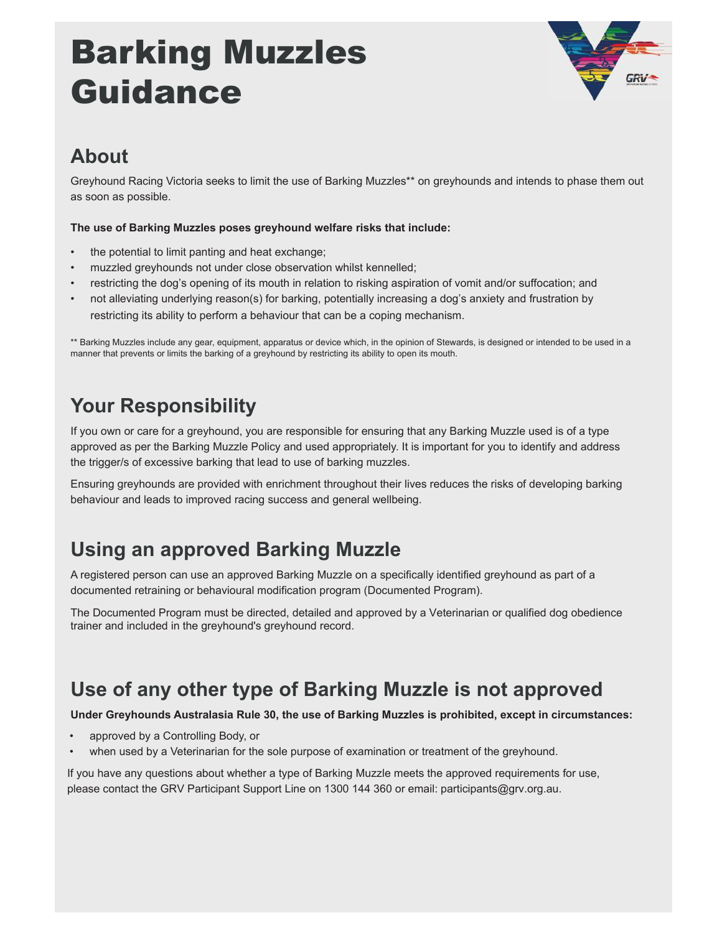# Barking Muzzles Guidance



## **About**

Greyhound Racing Victoria seeks to limit the use of Barking Muzzles\*\* on greyhounds and intends to phase them out as soon as possible.

#### **The use of Barking Muzzles poses greyhound welfare risks that include:**

- the potential to limit panting and heat exchange;
- muzzled greyhounds not under close observation whilst kennelled;
- restricting the dog's opening of its mouth in relation to risking aspiration of vomit and/or suffocation; and
- not alleviating underlying reason(s) for barking, potentially increasing a dog's anxiety and frustration by restricting its ability to perform a behaviour that can be a coping mechanism

\*\* Barking Muzzles include any gear, equipment, apparatus or device which, in the opinion of Stewards, is designed or intended to be used in a manner that prevents or limits the barking of a greyhound by restricting its ability to open its mouth.

## **Your Responsibility**

If you own or care for a greyhound, you are responsible for ensuring that any Barking Muzzle used is of a type approved as per the Barking Muzzle Policy and used appropriately. It is important for you to identify and address the trigger/s of excessive barking that lead to use of barking muzzles.

Ensuring greyhounds are provided with enrichment throughout their lives reduces the risks of developing barking behaviour and leads to improved racing success and general wellbeing.

## **Using an approved Barking Muzzle**

A registered person can use an approved Barking Muzzle on a specifically identified greyhound as part of a documented retraining or behavioural modification program (Documented Program).

The Documented Program must be directed, detailed and approved by a Veterinarian or qualified dog obedience trainer and included in the greyhound's greyhound record.

## **Use of any other type of Barking Muzzle is not approved**

**Under Greyhounds Australasia Rule 30, the use of Barking Muzzles is prohibited, except in circumstances:**

- approved by a Controlling Body, or
- when used by a Veterinarian for the sole purpose of examination or treatment of the greyhound.

If you have any questions about whether a type of Barking Muzzle meets the approved requirements for use, please contact the GRV Participant Support Line on 1300 144 360 or email: participants@grv.org.au.